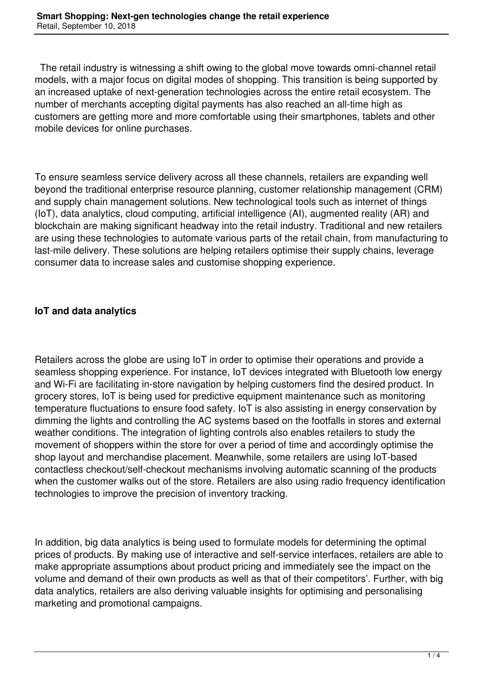The retail industry is witnessing a shift owing to the global move towards omni-channel retail models, with a major focus on digital modes of shopping. This transition is being supported by an increased uptake of next-generation technologies across the entire retail ecosystem. The number of merchants accepting digital payments has also reached an all-time high as customers are getting more and more comfortable using their smartphones, tablets and other mobile devices for online purchases.

To ensure seamless service delivery across all these channels, retailers are expanding well beyond the traditional enterprise resource planning, customer relationship management (CRM) and supply chain management solutions. New technological tools such as internet of things (IoT), data analytics, cloud computing, artificial intelligence (AI), augmented reality (AR) and blockchain are making significant headway into the retail industry. Traditional and new retailers are using these technologies to automate various parts of the retail chain, from manufacturing to last-mile delivery. These solutions are helping retailers optimise their supply chains, leverage consumer data to increase sales and customise shopping experience.

# **IoT and data analytics**

Retailers across the globe are using IoT in order to optimise their operations and provide a seamless shopping experience. For instance, IoT devices integrated with Bluetooth low energy and Wi-Fi are facilitating in-store navigation by helping customers find the desired product. In grocery stores, IoT is being used for predictive equipment maintenance such as monitoring temperature fluctuations to ensure food safety. IoT is also assisting in energy conservation by dimming the lights and controlling the AC systems based on the footfalls in stores and external weather conditions. The integration of lighting controls also enables retailers to study the movement of shoppers within the store for over a period of time and accordingly optimise the shop layout and merchandise placement. Meanwhile, some retailers are using IoT-based contactless checkout/self-checkout mechanisms involving automatic scanning of the products when the customer walks out of the store. Retailers are also using radio frequency identification technologies to improve the precision of inventory tracking.

In addition, big data analytics is being used to formulate models for determining the optimal prices of products. By making use of interactive and self-service interfaces, retailers are able to make appropriate assumptions about product pricing and immediately see the impact on the volume and demand of their own products as well as that of their competitors'. Further, with big data analytics, retailers are also deriving valuable insights for optimising and personalising marketing and promotional campaigns.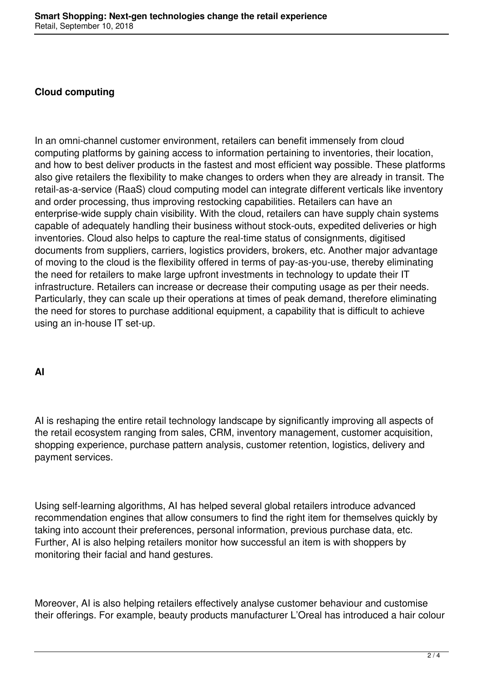## **Cloud computing**

In an omni-channel customer environment, retailers can benefit immensely from cloud computing platforms by gaining access to information pertaining to inventories, their location, and how to best deliver products in the fastest and most efficient way possible. These platforms also give retailers the flexibility to make changes to orders when they are already in transit. The retail-as-a-service (RaaS) cloud computing model can integrate different verticals like inventory and order processing, thus improving restocking capabilities. Retailers can have an enterprise-wide supply chain visibility. With the cloud, retailers can have supply chain systems capable of adequately handling their business without stock-outs, expedited deliveries or high inventories. Cloud also helps to capture the real-time status of consignments, digitised documents from suppliers, carriers, logistics providers, brokers, etc. Another major advantage of moving to the cloud is the flexibility offered in terms of pay-as-you-use, thereby eliminating the need for retailers to make large upfront investments in technology to update their IT infrastructure. Retailers can increase or decrease their computing usage as per their needs. Particularly, they can scale up their operations at times of peak demand, therefore eliminating the need for stores to purchase additional equipment, a capability that is difficult to achieve using an in-house IT set-up.

### **AI**

AI is reshaping the entire retail technology landscape by significantly improving all aspects of the retail ecosystem ranging from sales, CRM, inventory management, customer acquisition, shopping experience, purchase pattern analysis, customer retention, logistics, delivery and payment services.

Using self-learning algorithms, AI has helped several global retailers introduce advanced recommendation engines that allow consumers to find the right item for themselves quickly by taking into account their preferences, personal information, previous purchase data, etc. Further, AI is also helping retailers monitor how successful an item is with shoppers by monitoring their facial and hand gestures.

Moreover, AI is also helping retailers effectively analyse customer behaviour and customise their offerings. For example, beauty products manufacturer L'Oreal has introduced a hair colour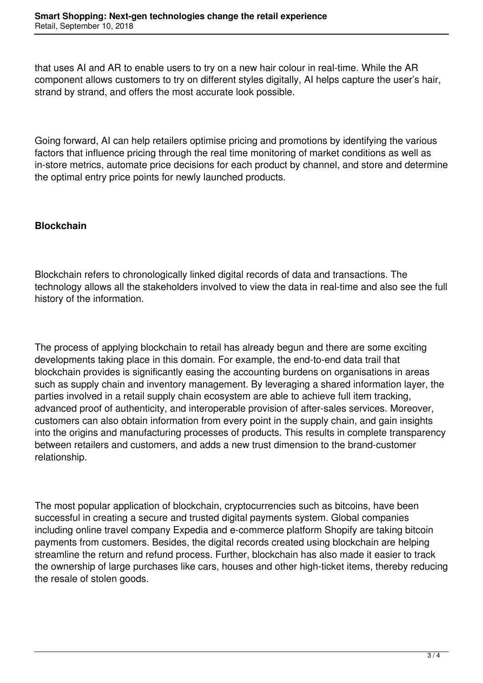that uses AI and AR to enable users to try on a new hair colour in real-time. While the AR component allows customers to try on different styles digitally, AI helps capture the user's hair, strand by strand, and offers the most accurate look possible.

Going forward, AI can help retailers optimise pricing and promotions by identifying the various factors that influence pricing through the real time monitoring of market conditions as well as in-store metrics, automate price decisions for each product by channel, and store and determine the optimal entry price points for newly launched products.

## **Blockchain**

Blockchain refers to chronologically linked digital records of data and transactions. The technology allows all the stakeholders involved to view the data in real-time and also see the full history of the information.

The process of applying blockchain to retail has already begun and there are some exciting developments taking place in this domain. For example, the end-to-end data trail that blockchain provides is significantly easing the accounting burdens on organisations in areas such as supply chain and inventory management. By leveraging a shared information layer, the parties involved in a retail supply chain ecosystem are able to achieve full item tracking, advanced proof of authenticity, and interoperable provision of after-sales services. Moreover, customers can also obtain information from every point in the supply chain, and gain insights into the origins and manufacturing processes of products. This results in complete transparency between retailers and customers, and adds a new trust dimension to the brand-customer relationship.

The most popular application of blockchain, cryptocurrencies such as bitcoins, have been successful in creating a secure and trusted digital payments system. Global companies including online travel company Expedia and e-commerce platform Shopify are taking bitcoin payments from customers. Besides, the digital records created using blockchain are helping streamline the return and refund process. Further, blockchain has also made it easier to track the ownership of large purchases like cars, houses and other high-ticket items, thereby reducing the resale of stolen goods.